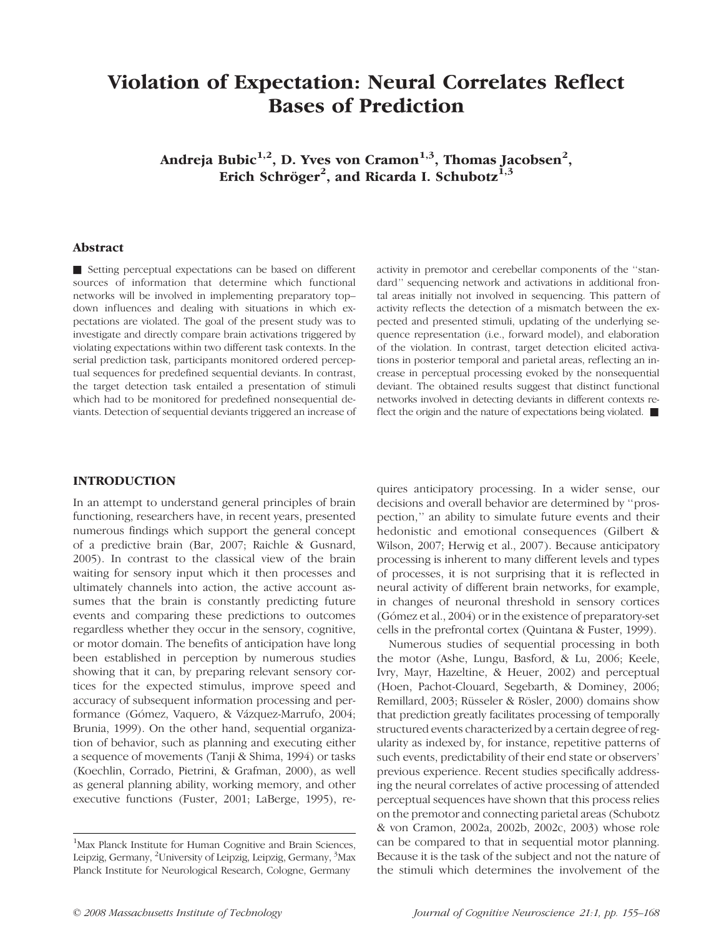# Violation of Expectation: Neural Correlates Reflect Bases of Prediction

Andreja Bubic $^{1,2}$ , D. Yves von Cramon $^{1,3}$ , Thomas Jacobsen $^2$ , Erich Schröger<sup>2</sup>, and Ricarda I. Schubotz<sup>1,3</sup>

## Abstract

& Setting perceptual expectations can be based on different sources of information that determine which functional networks will be involved in implementing preparatory top– down influences and dealing with situations in which expectations are violated. The goal of the present study was to investigate and directly compare brain activations triggered by violating expectations within two different task contexts. In the serial prediction task, participants monitored ordered perceptual sequences for predefined sequential deviants. In contrast, the target detection task entailed a presentation of stimuli which had to be monitored for predefined nonsequential deviants. Detection of sequential deviants triggered an increase of activity in premotor and cerebellar components of the ''standard'' sequencing network and activations in additional frontal areas initially not involved in sequencing. This pattern of activity reflects the detection of a mismatch between the expected and presented stimuli, updating of the underlying sequence representation (i.e., forward model), and elaboration of the violation. In contrast, target detection elicited activations in posterior temporal and parietal areas, reflecting an increase in perceptual processing evoked by the nonsequential deviant. The obtained results suggest that distinct functional networks involved in detecting deviants in different contexts reflect the origin and the nature of expectations being violated.  $\blacksquare$ 

# INTRODUCTION

In an attempt to understand general principles of brain functioning, researchers have, in recent years, presented numerous findings which support the general concept of a predictive brain (Bar, 2007; Raichle & Gusnard, 2005). In contrast to the classical view of the brain waiting for sensory input which it then processes and ultimately channels into action, the active account assumes that the brain is constantly predicting future events and comparing these predictions to outcomes regardless whether they occur in the sensory, cognitive, or motor domain. The benefits of anticipation have long been established in perception by numerous studies showing that it can, by preparing relevant sensory cortices for the expected stimulus, improve speed and accuracy of subsequent information processing and performance (Gómez, Vaquero, & Vázquez-Marrufo, 2004; Brunia, 1999). On the other hand, sequential organization of behavior, such as planning and executing either a sequence of movements (Tanji & Shima, 1994) or tasks (Koechlin, Corrado, Pietrini, & Grafman, 2000), as well as general planning ability, working memory, and other executive functions (Fuster, 2001; LaBerge, 1995), requires anticipatory processing. In a wider sense, our decisions and overall behavior are determined by ''prospection,'' an ability to simulate future events and their hedonistic and emotional consequences (Gilbert & Wilson, 2007; Herwig et al., 2007). Because anticipatory processing is inherent to many different levels and types of processes, it is not surprising that it is reflected in neural activity of different brain networks, for example, in changes of neuronal threshold in sensory cortices (Gómez et al., 2004) or in the existence of preparatory-set cells in the prefrontal cortex (Quintana & Fuster, 1999).

Numerous studies of sequential processing in both the motor (Ashe, Lungu, Basford, & Lu, 2006; Keele, Ivry, Mayr, Hazeltine, & Heuer, 2002) and perceptual (Hoen, Pachot-Clouard, Segebarth, & Dominey, 2006; Remillard, 2003; Rüsseler & Rösler, 2000) domains show that prediction greatly facilitates processing of temporally structured events characterized by a certain degree of regularity as indexed by, for instance, repetitive patterns of such events, predictability of their end state or observers' previous experience. Recent studies specifically addressing the neural correlates of active processing of attended perceptual sequences have shown that this process relies on the premotor and connecting parietal areas (Schubotz & von Cramon, 2002a, 2002b, 2002c, 2003) whose role can be compared to that in sequential motor planning. Because it is the task of the subject and not the nature of the stimuli which determines the involvement of the

<sup>&</sup>lt;sup>1</sup>Max Planck Institute for Human Cognitive and Brain Sciences, Leipzig, Germany, <sup>2</sup>University of Leipzig, Leipzig, Germany, <sup>3</sup>Max Planck Institute for Neurological Research, Cologne, Germany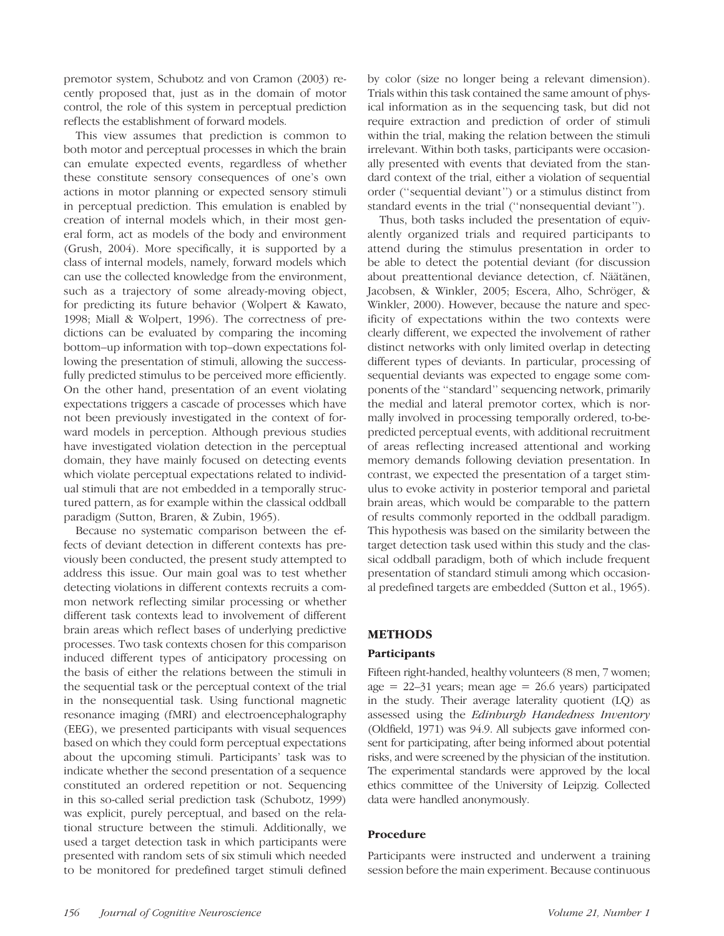premotor system, Schubotz and von Cramon (2003) recently proposed that, just as in the domain of motor control, the role of this system in perceptual prediction reflects the establishment of forward models.

This view assumes that prediction is common to both motor and perceptual processes in which the brain can emulate expected events, regardless of whether these constitute sensory consequences of one's own actions in motor planning or expected sensory stimuli in perceptual prediction. This emulation is enabled by creation of internal models which, in their most general form, act as models of the body and environment (Grush, 2004). More specifically, it is supported by a class of internal models, namely, forward models which can use the collected knowledge from the environment, such as a trajectory of some already-moving object, for predicting its future behavior (Wolpert & Kawato, 1998; Miall & Wolpert, 1996). The correctness of predictions can be evaluated by comparing the incoming bottom–up information with top–down expectations following the presentation of stimuli, allowing the successfully predicted stimulus to be perceived more efficiently. On the other hand, presentation of an event violating expectations triggers a cascade of processes which have not been previously investigated in the context of forward models in perception. Although previous studies have investigated violation detection in the perceptual domain, they have mainly focused on detecting events which violate perceptual expectations related to individual stimuli that are not embedded in a temporally structured pattern, as for example within the classical oddball paradigm (Sutton, Braren, & Zubin, 1965).

Because no systematic comparison between the effects of deviant detection in different contexts has previously been conducted, the present study attempted to address this issue. Our main goal was to test whether detecting violations in different contexts recruits a common network reflecting similar processing or whether different task contexts lead to involvement of different brain areas which reflect bases of underlying predictive processes. Two task contexts chosen for this comparison induced different types of anticipatory processing on the basis of either the relations between the stimuli in the sequential task or the perceptual context of the trial in the nonsequential task. Using functional magnetic resonance imaging (fMRI) and electroencephalography (EEG), we presented participants with visual sequences based on which they could form perceptual expectations about the upcoming stimuli. Participants' task was to indicate whether the second presentation of a sequence constituted an ordered repetition or not. Sequencing in this so-called serial prediction task (Schubotz, 1999) was explicit, purely perceptual, and based on the relational structure between the stimuli. Additionally, we used a target detection task in which participants were presented with random sets of six stimuli which needed to be monitored for predefined target stimuli defined by color (size no longer being a relevant dimension). Trials within this task contained the same amount of physical information as in the sequencing task, but did not require extraction and prediction of order of stimuli within the trial, making the relation between the stimuli irrelevant. Within both tasks, participants were occasionally presented with events that deviated from the standard context of the trial, either a violation of sequential order (''sequential deviant'') or a stimulus distinct from standard events in the trial (''nonsequential deviant'').

Thus, both tasks included the presentation of equivalently organized trials and required participants to attend during the stimulus presentation in order to be able to detect the potential deviant (for discussion about preattentional deviance detection, cf. Näätänen, Jacobsen, & Winkler, 2005; Escera, Alho, Schröger, & Winkler, 2000). However, because the nature and specificity of expectations within the two contexts were clearly different, we expected the involvement of rather distinct networks with only limited overlap in detecting different types of deviants. In particular, processing of sequential deviants was expected to engage some components of the ''standard'' sequencing network, primarily the medial and lateral premotor cortex, which is normally involved in processing temporally ordered, to-bepredicted perceptual events, with additional recruitment of areas reflecting increased attentional and working memory demands following deviation presentation. In contrast, we expected the presentation of a target stimulus to evoke activity in posterior temporal and parietal brain areas, which would be comparable to the pattern of results commonly reported in the oddball paradigm. This hypothesis was based on the similarity between the target detection task used within this study and the classical oddball paradigm, both of which include frequent presentation of standard stimuli among which occasional predefined targets are embedded (Sutton et al., 1965).

# METHODS

#### Participants

Fifteen right-handed, healthy volunteers (8 men, 7 women; age  $= 22-31$  years; mean age  $= 26.6$  years) participated in the study. Their average laterality quotient (LQ) as assessed using the Edinburgh Handedness Inventory (Oldfield, 1971) was 94.9. All subjects gave informed consent for participating, after being informed about potential risks, and were screened by the physician of the institution. The experimental standards were approved by the local ethics committee of the University of Leipzig. Collected data were handled anonymously.

#### Procedure

Participants were instructed and underwent a training session before the main experiment. Because continuous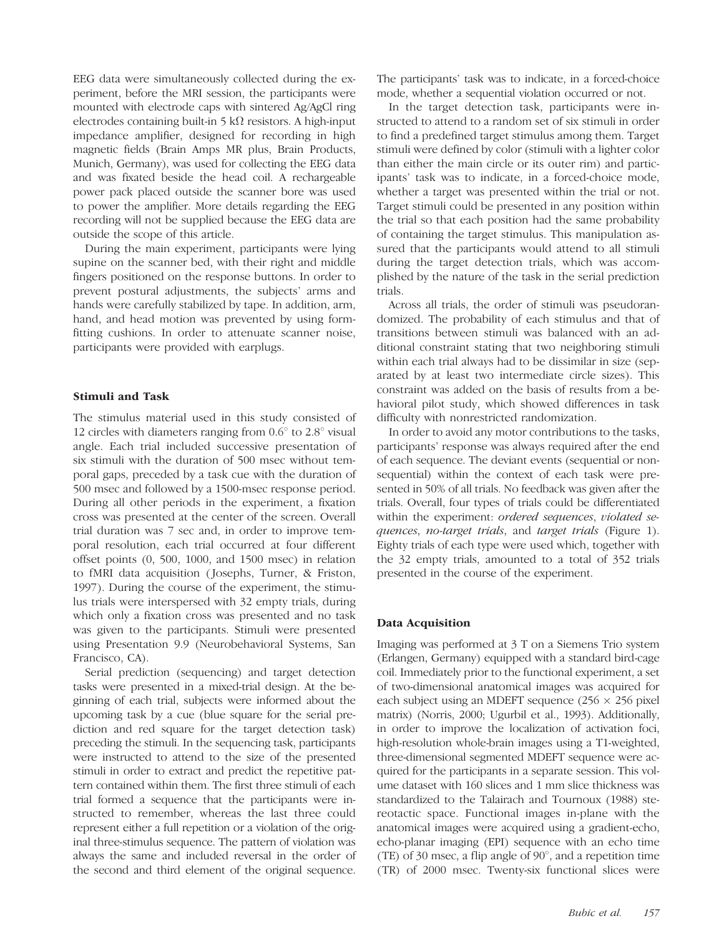EEG data were simultaneously collected during the experiment, before the MRI session, the participants were mounted with electrode caps with sintered Ag/AgCl ring electrodes containing built-in  $5 \text{ k}\Omega$  resistors. A high-input impedance amplifier, designed for recording in high magnetic fields (Brain Amps MR plus, Brain Products, Munich, Germany), was used for collecting the EEG data and was fixated beside the head coil. A rechargeable power pack placed outside the scanner bore was used to power the amplifier. More details regarding the EEG recording will not be supplied because the EEG data are outside the scope of this article.

During the main experiment, participants were lying supine on the scanner bed, with their right and middle fingers positioned on the response buttons. In order to prevent postural adjustments, the subjects' arms and hands were carefully stabilized by tape. In addition, arm, hand, and head motion was prevented by using formfitting cushions. In order to attenuate scanner noise, participants were provided with earplugs.

#### Stimuli and Task

The stimulus material used in this study consisted of 12 circles with diameters ranging from  $0.6^{\circ}$  to  $2.8^{\circ}$  visual angle. Each trial included successive presentation of six stimuli with the duration of 500 msec without temporal gaps, preceded by a task cue with the duration of 500 msec and followed by a 1500-msec response period. During all other periods in the experiment, a fixation cross was presented at the center of the screen. Overall trial duration was 7 sec and, in order to improve temporal resolution, each trial occurred at four different offset points (0, 500, 1000, and 1500 msec) in relation to fMRI data acquisition ( Josephs, Turner, & Friston, 1997). During the course of the experiment, the stimulus trials were interspersed with 32 empty trials, during which only a fixation cross was presented and no task was given to the participants. Stimuli were presented using Presentation 9.9 (Neurobehavioral Systems, San Francisco, CA).

Serial prediction (sequencing) and target detection tasks were presented in a mixed-trial design. At the beginning of each trial, subjects were informed about the upcoming task by a cue (blue square for the serial prediction and red square for the target detection task) preceding the stimuli. In the sequencing task, participants were instructed to attend to the size of the presented stimuli in order to extract and predict the repetitive pattern contained within them. The first three stimuli of each trial formed a sequence that the participants were instructed to remember, whereas the last three could represent either a full repetition or a violation of the original three-stimulus sequence. The pattern of violation was always the same and included reversal in the order of the second and third element of the original sequence.

The participants' task was to indicate, in a forced-choice mode, whether a sequential violation occurred or not.

In the target detection task, participants were instructed to attend to a random set of six stimuli in order to find a predefined target stimulus among them. Target stimuli were defined by color (stimuli with a lighter color than either the main circle or its outer rim) and participants' task was to indicate, in a forced-choice mode, whether a target was presented within the trial or not. Target stimuli could be presented in any position within the trial so that each position had the same probability of containing the target stimulus. This manipulation assured that the participants would attend to all stimuli during the target detection trials, which was accomplished by the nature of the task in the serial prediction trials.

Across all trials, the order of stimuli was pseudorandomized. The probability of each stimulus and that of transitions between stimuli was balanced with an additional constraint stating that two neighboring stimuli within each trial always had to be dissimilar in size (separated by at least two intermediate circle sizes). This constraint was added on the basis of results from a behavioral pilot study, which showed differences in task difficulty with nonrestricted randomization.

In order to avoid any motor contributions to the tasks, participants' response was always required after the end of each sequence. The deviant events (sequential or nonsequential) within the context of each task were presented in 50% of all trials. No feedback was given after the trials. Overall, four types of trials could be differentiated within the experiment: ordered sequences, violated sequences, no-target trials, and target trials (Figure 1). Eighty trials of each type were used which, together with the 32 empty trials, amounted to a total of 352 trials presented in the course of the experiment.

#### Data Acquisition

Imaging was performed at 3 T on a Siemens Trio system (Erlangen, Germany) equipped with a standard bird-cage coil. Immediately prior to the functional experiment, a set of two-dimensional anatomical images was acquired for each subject using an MDEFT sequence  $(256 \times 256)$  pixel matrix) (Norris, 2000; Ugurbil et al., 1993). Additionally, in order to improve the localization of activation foci, high-resolution whole-brain images using a T1-weighted, three-dimensional segmented MDEFT sequence were acquired for the participants in a separate session. This volume dataset with 160 slices and 1 mm slice thickness was standardized to the Talairach and Tournoux (1988) stereotactic space. Functional images in-plane with the anatomical images were acquired using a gradient-echo, echo-planar imaging (EPI) sequence with an echo time (TE) of 30 msec, a flip angle of  $90^\circ$ , and a repetition time (TR) of 2000 msec. Twenty-six functional slices were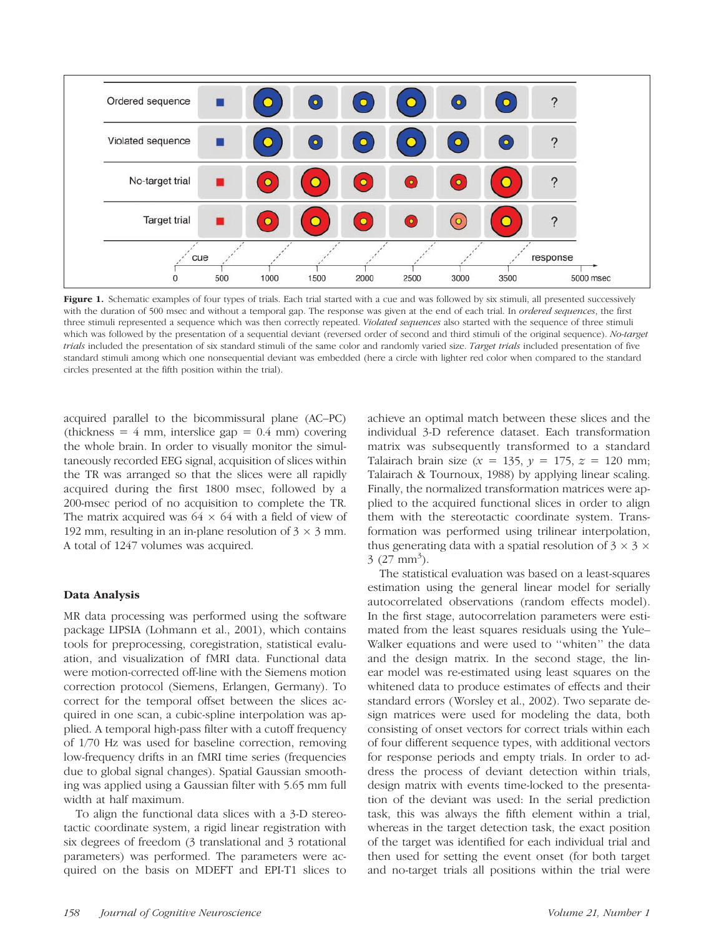

Figure 1. Schematic examples of four types of trials. Each trial started with a cue and was followed by six stimuli, all presented successively with the duration of 500 msec and without a temporal gap. The response was given at the end of each trial. In ordered sequences, the first three stimuli represented a sequence which was then correctly repeated. Violated sequences also started with the sequence of three stimuli which was followed by the presentation of a sequential deviant (reversed order of second and third stimuli of the original sequence). No-target trials included the presentation of six standard stimuli of the same color and randomly varied size. Target trials included presentation of five standard stimuli among which one nonsequential deviant was embedded (here a circle with lighter red color when compared to the standard circles presented at the fifth position within the trial).

acquired parallel to the bicommissural plane (AC–PC) (thickness =  $4 \text{ mm}$ , interslice gap =  $0.4 \text{ mm}$ ) covering the whole brain. In order to visually monitor the simultaneously recorded EEG signal, acquisition of slices within the TR was arranged so that the slices were all rapidly acquired during the first 1800 msec, followed by a 200-msec period of no acquisition to complete the TR. The matrix acquired was  $64 \times 64$  with a field of view of 192 mm, resulting in an in-plane resolution of  $3 \times 3$  mm. A total of 1247 volumes was acquired.

#### Data Analysis

MR data processing was performed using the software package LIPSIA (Lohmann et al., 2001), which contains tools for preprocessing, coregistration, statistical evaluation, and visualization of fMRI data. Functional data were motion-corrected off-line with the Siemens motion correction protocol (Siemens, Erlangen, Germany). To correct for the temporal offset between the slices acquired in one scan, a cubic-spline interpolation was applied. A temporal high-pass filter with a cutoff frequency of 1/70 Hz was used for baseline correction, removing low-frequency drifts in an fMRI time series (frequencies due to global signal changes). Spatial Gaussian smoothing was applied using a Gaussian filter with 5.65 mm full width at half maximum.

To align the functional data slices with a 3-D stereotactic coordinate system, a rigid linear registration with six degrees of freedom (3 translational and 3 rotational parameters) was performed. The parameters were acquired on the basis on MDEFT and EPI-T1 slices to achieve an optimal match between these slices and the individual 3-D reference dataset. Each transformation matrix was subsequently transformed to a standard Talairach brain size ( $x = 135$ ,  $y = 175$ ,  $z = 120$  mm; Talairach & Tournoux, 1988) by applying linear scaling. Finally, the normalized transformation matrices were applied to the acquired functional slices in order to align them with the stereotactic coordinate system. Transformation was performed using trilinear interpolation, thus generating data with a spatial resolution of  $3 \times 3 \times$  $3(27) mm^3$ ).

The statistical evaluation was based on a least-squares estimation using the general linear model for serially autocorrelated observations (random effects model). In the first stage, autocorrelation parameters were estimated from the least squares residuals using the Yule– Walker equations and were used to ''whiten'' the data and the design matrix. In the second stage, the linear model was re-estimated using least squares on the whitened data to produce estimates of effects and their standard errors (Worsley et al., 2002). Two separate design matrices were used for modeling the data, both consisting of onset vectors for correct trials within each of four different sequence types, with additional vectors for response periods and empty trials. In order to address the process of deviant detection within trials, design matrix with events time-locked to the presentation of the deviant was used: In the serial prediction task, this was always the fifth element within a trial, whereas in the target detection task, the exact position of the target was identified for each individual trial and then used for setting the event onset (for both target and no-target trials all positions within the trial were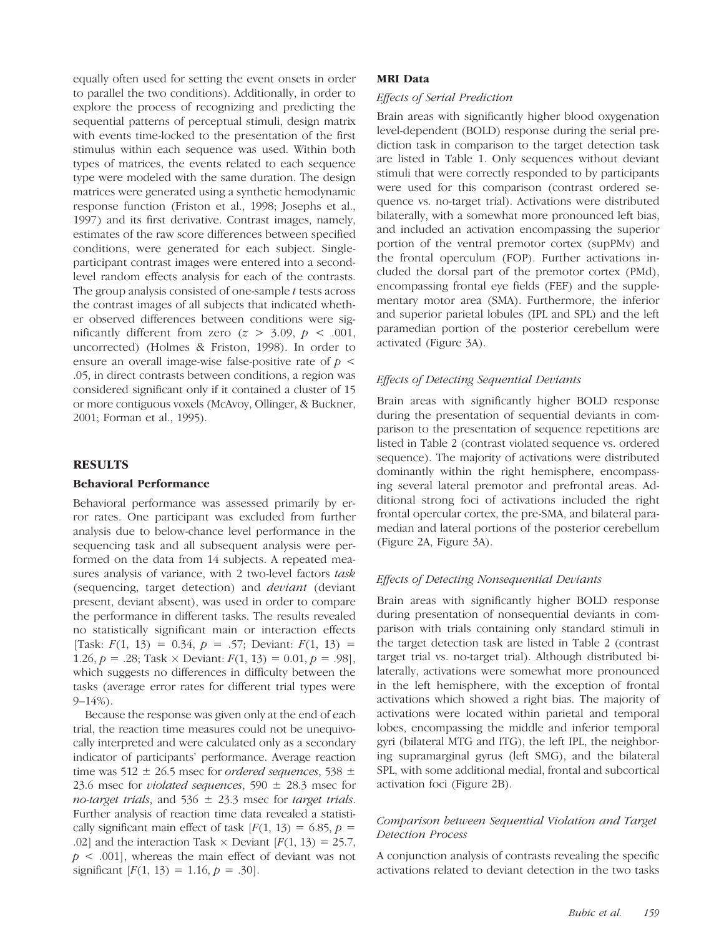equally often used for setting the event onsets in order to parallel the two conditions). Additionally, in order to explore the process of recognizing and predicting the sequential patterns of perceptual stimuli, design matrix with events time-locked to the presentation of the first stimulus within each sequence was used. Within both types of matrices, the events related to each sequence type were modeled with the same duration. The design matrices were generated using a synthetic hemodynamic response function (Friston et al., 1998; Josephs et al., 1997) and its first derivative. Contrast images, namely, estimates of the raw score differences between specified conditions, were generated for each subject. Singleparticipant contrast images were entered into a secondlevel random effects analysis for each of the contrasts. The group analysis consisted of one-sample  $t$  tests across the contrast images of all subjects that indicated whether observed differences between conditions were significantly different from zero  $(z > 3.09, p < .001,$ uncorrected) (Holmes & Friston, 1998). In order to ensure an overall image-wise false-positive rate of  $p \leq$ .05, in direct contrasts between conditions, a region was considered significant only if it contained a cluster of 15 or more contiguous voxels (McAvoy, Ollinger, & Buckner, 2001; Forman et al., 1995).

## RESULTS

#### Behavioral Performance

Behavioral performance was assessed primarily by error rates. One participant was excluded from further analysis due to below-chance level performance in the sequencing task and all subsequent analysis were performed on the data from 14 subjects. A repeated measures analysis of variance, with 2 two-level factors task (sequencing, target detection) and deviant (deviant present, deviant absent), was used in order to compare the performance in different tasks. The results revealed no statistically significant main or interaction effects [Task:  $F(1, 13) = 0.34, p = .57$ ; Deviant:  $F(1, 13) =$ 1.26, p = .28; Task  $\times$  Deviant:  $F(1, 13) = 0.01$ , p = .98], which suggests no differences in difficulty between the tasks (average error rates for different trial types were 9–14%).

Because the response was given only at the end of each trial, the reaction time measures could not be unequivocally interpreted and were calculated only as a secondary indicator of participants' performance. Average reaction time was 512  $\pm$  26.5 msec for ordered sequences, 538  $\pm$ 23.6 msec for *violated sequences*, 590  $\pm$  28.3 msec for no-target trials, and  $536 \pm 23.3$  msec for target trials. Further analysis of reaction time data revealed a statistically significant main effect of task  $[F(1, 13) = 6.85, p =$ .02] and the interaction Task  $\times$  Deviant [ $F(1, 13) = 25.7$ ,  $p < .001$ , whereas the main effect of deviant was not significant  $[F(1, 13) = 1.16, p = .30]$ .

#### MRI Data

#### Effects of Serial Prediction

Brain areas with significantly higher blood oxygenation level-dependent (BOLD) response during the serial prediction task in comparison to the target detection task are listed in Table 1. Only sequences without deviant stimuli that were correctly responded to by participants were used for this comparison (contrast ordered sequence vs. no-target trial). Activations were distributed bilaterally, with a somewhat more pronounced left bias, and included an activation encompassing the superior portion of the ventral premotor cortex (supPMv) and the frontal operculum (FOP). Further activations included the dorsal part of the premotor cortex (PMd), encompassing frontal eye fields (FEF) and the supplementary motor area (SMA). Furthermore, the inferior and superior parietal lobules (IPL and SPL) and the left paramedian portion of the posterior cerebellum were activated (Figure 3A).

#### Effects of Detecting Sequential Deviants

Brain areas with significantly higher BOLD response during the presentation of sequential deviants in comparison to the presentation of sequence repetitions are listed in Table 2 (contrast violated sequence vs. ordered sequence). The majority of activations were distributed dominantly within the right hemisphere, encompassing several lateral premotor and prefrontal areas. Additional strong foci of activations included the right frontal opercular cortex, the pre-SMA, and bilateral paramedian and lateral portions of the posterior cerebellum (Figure 2A, Figure 3A).

#### Effects of Detecting Nonsequential Deviants

Brain areas with significantly higher BOLD response during presentation of nonsequential deviants in comparison with trials containing only standard stimuli in the target detection task are listed in Table 2 (contrast target trial vs. no-target trial). Although distributed bilaterally, activations were somewhat more pronounced in the left hemisphere, with the exception of frontal activations which showed a right bias. The majority of activations were located within parietal and temporal lobes, encompassing the middle and inferior temporal gyri (bilateral MTG and ITG), the left IPL, the neighboring supramarginal gyrus (left SMG), and the bilateral SPL, with some additional medial, frontal and subcortical activation foci (Figure 2B).

## Comparison between Sequential Violation and Target Detection Process

A conjunction analysis of contrasts revealing the specific activations related to deviant detection in the two tasks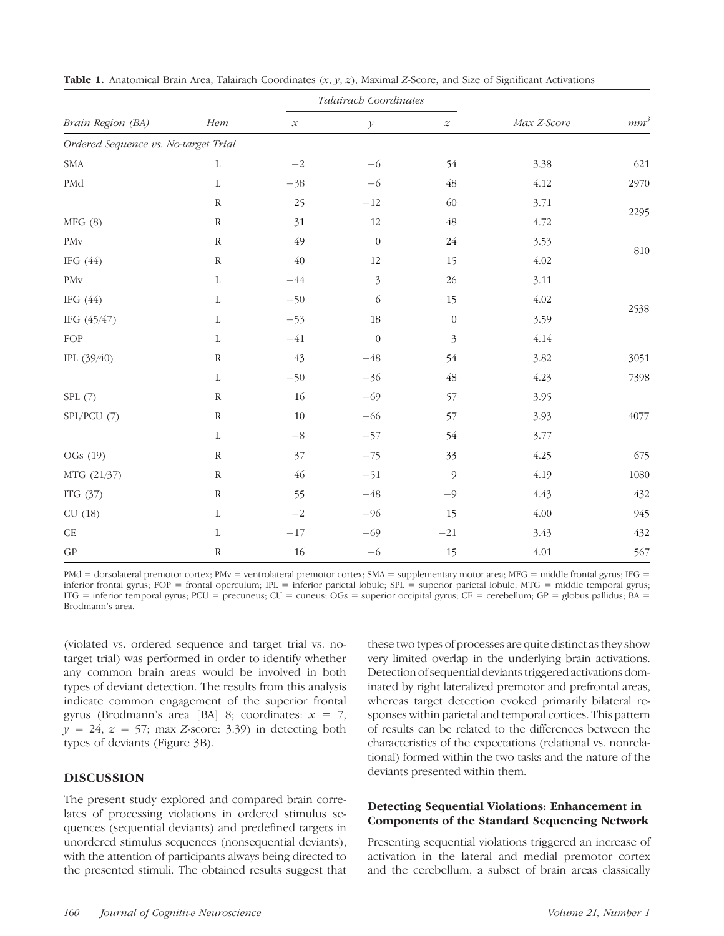| Brain Region (BA)                    | Hem          | Talairach Coordinates                                                                                                                                                                                                                                                                                                                                                                                                                                     |                  |                  |             |                 |
|--------------------------------------|--------------|-----------------------------------------------------------------------------------------------------------------------------------------------------------------------------------------------------------------------------------------------------------------------------------------------------------------------------------------------------------------------------------------------------------------------------------------------------------|------------------|------------------|-------------|-----------------|
|                                      |              | $\mathcal{X}% _{0}=\mathcal{X}_{0}=\mathcal{X}_{0}=\mathcal{X}_{0}=\mathcal{X}_{1}=\mathcal{X}_{1}=\mathcal{X}_{2}=\mathcal{X}_{1}=\mathcal{X}_{2}=\mathcal{X}_{3}=\mathcal{X}_{4}=\mathcal{X}_{5}=\mathcal{X}_{6}=\mathcal{X}_{7}=\mathcal{X}_{8}=\mathcal{X}_{9}=\mathcal{X}_{1}=\mathcal{X}_{1}=\mathcal{X}_{1}=\mathcal{X}_{1}=\mathcal{X}_{2}=\mathcal{X}_{3}=\mathcal{X}_{4}=\mathcal{X}_{5}=\mathcal{X}_{6}=\mathcal{X}_{7}=\mathcal{X}_{8}=\math$ | $\mathcal Y$     | $\boldsymbol{z}$ | Max Z-Score | mm <sup>3</sup> |
| Ordered Sequence vs. No-target Trial |              |                                                                                                                                                                                                                                                                                                                                                                                                                                                           |                  |                  |             |                 |
| $\ensuremath{\mathrm{SMA}}$          | $\mathbf L$  | $-{\bf 2}$                                                                                                                                                                                                                                                                                                                                                                                                                                                | $-6$             | 54               | 3.38        | 621             |
| PMd                                  | $\mathbf L$  | $-38$                                                                                                                                                                                                                                                                                                                                                                                                                                                     | $-6$             | $\sqrt{48}$      | 4.12        | 2970            |
|                                      | $\mathbb{R}$ | 25                                                                                                                                                                                                                                                                                                                                                                                                                                                        | $-12$            | 60               | 3.71        | 2295            |
| MFG(8)                               | ${\bf R}$    | 31                                                                                                                                                                                                                                                                                                                                                                                                                                                        | 12               | $\sqrt{48}$      | 4.72        |                 |
| PM <sub>v</sub>                      | ${\bf R}$    | 49                                                                                                                                                                                                                                                                                                                                                                                                                                                        | $\boldsymbol{0}$ | 24               | 3.53        | $810\,$         |
| IFG $(44)$                           | ${\bf R}$    | $40\,$                                                                                                                                                                                                                                                                                                                                                                                                                                                    | 12               | 15               | 4.02        |                 |
| PM <sub>v</sub>                      | $\mathbf L$  | $-44$                                                                                                                                                                                                                                                                                                                                                                                                                                                     | $\mathfrak{Z}$   | 26               | 3.11        |                 |
| IFG $(44)$                           | $\mathbf L$  | $-50$                                                                                                                                                                                                                                                                                                                                                                                                                                                     | 6                | 15               | 4.02        | 2538            |
| IFG (45/47)                          | $\mathbf L$  | $-53$                                                                                                                                                                                                                                                                                                                                                                                                                                                     | $18\,$           | $\boldsymbol{0}$ | 3.59        |                 |
| FOP                                  | L            | $-41$                                                                                                                                                                                                                                                                                                                                                                                                                                                     | $\boldsymbol{0}$ | 3                | 4.14        |                 |
| IPL (39/40)                          | ${\bf R}$    | 43                                                                                                                                                                                                                                                                                                                                                                                                                                                        | $-48\,$          | 54               | 3.82        | 3051            |
|                                      | $\mathbf{L}$ | $-50$                                                                                                                                                                                                                                                                                                                                                                                                                                                     | $-36$            | $\sqrt{48}$      | 4.23        | 7398            |
| SPL(7)                               | ${\bf R}$    | 16                                                                                                                                                                                                                                                                                                                                                                                                                                                        | $-69$            | 57               | 3.95        |                 |
| SPL/PCU (7)                          | ${\bf R}$    | $10\,$                                                                                                                                                                                                                                                                                                                                                                                                                                                    | $-66$            | 57               | 3.93        | 4077            |
|                                      | $\mathbf L$  | $-8\,$                                                                                                                                                                                                                                                                                                                                                                                                                                                    | $-57$            | 54               | 3.77        |                 |
| OGs (19)                             | ${\bf R}$    | 37                                                                                                                                                                                                                                                                                                                                                                                                                                                        | $-75$            | 33               | 4.25        | 675             |
| MTG (21/37)                          | ${\bf R}$    | $46\,$                                                                                                                                                                                                                                                                                                                                                                                                                                                    | $-51$            | $\mathfrak{g}$   | 4.19        | $1080\,$        |
| ITG $(37)$                           | ${\bf R}$    | 55                                                                                                                                                                                                                                                                                                                                                                                                                                                        | $-48$            | $-9$             | 4.43        | 432             |
| CU(18)                               | L            | $-{\bf 2}$                                                                                                                                                                                                                                                                                                                                                                                                                                                | $-96$            | 15               | 4.00        | 945             |
| $\operatorname{CE}$                  | L            | $-17$                                                                                                                                                                                                                                                                                                                                                                                                                                                     | $-69$            | $-21$            | 3.43        | 432             |
| $\mathcal{GP}$                       | ${\bf R}$    | $16\,$                                                                                                                                                                                                                                                                                                                                                                                                                                                    | $-6$             | 15               | $4.01\,$    | 567             |

**Table 1.** Anatomical Brain Area, Talairach Coordinates  $(x, y, z)$ , Maximal Z-Score, and Size of Significant Activations

PMd = dorsolateral premotor cortex; PMv = ventrolateral premotor cortex; SMA = supplementary motor area; MFG = middle frontal gyrus; IFG = inferior frontal gyrus; FOP = frontal operculum; IPL = inferior parietal lobule; SPL = superior parietal lobule; MTG = middle temporal gyrus; ITG = inferior temporal gyrus; PCU = precuneus; CU = cuneus; OGs = superior occipital gyrus; CE = cerebellum; GP = globus pallidus; BA = Brodmann's area.

(violated vs. ordered sequence and target trial vs. notarget trial) was performed in order to identify whether any common brain areas would be involved in both types of deviant detection. The results from this analysis indicate common engagement of the superior frontal gyrus (Brodmann's area [BA] 8; coordinates:  $x = 7$ ,  $y = 24$ ,  $z = 57$ ; max Z-score: 3.39) in detecting both types of deviants (Figure 3B).

## DISCUSSION

The present study explored and compared brain correlates of processing violations in ordered stimulus sequences (sequential deviants) and predefined targets in unordered stimulus sequences (nonsequential deviants), with the attention of participants always being directed to the presented stimuli. The obtained results suggest that

these two types of processes are quite distinct as they show very limited overlap in the underlying brain activations. Detection of sequential deviants triggered activations dominated by right lateralized premotor and prefrontal areas, whereas target detection evoked primarily bilateral responses within parietal and temporal cortices. This pattern of results can be related to the differences between the characteristics of the expectations (relational vs. nonrelational) formed within the two tasks and the nature of the deviants presented within them.

# Detecting Sequential Violations: Enhancement in Components of the Standard Sequencing Network

Presenting sequential violations triggered an increase of activation in the lateral and medial premotor cortex and the cerebellum, a subset of brain areas classically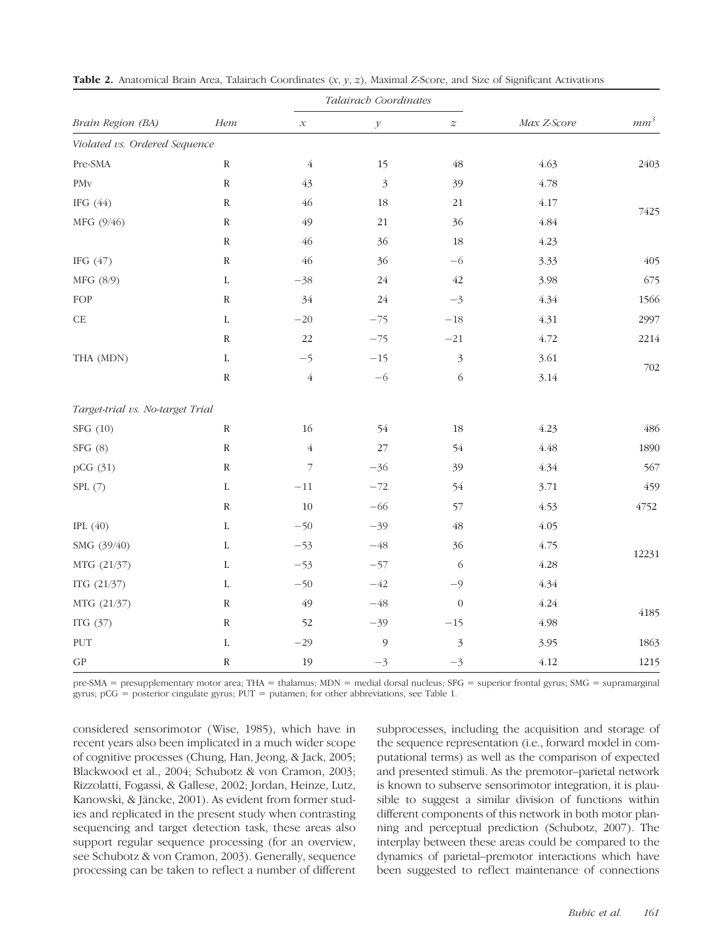| Brain Region (BA)                | Hem         | Talairach Coordinates    |                |                  |             |        |
|----------------------------------|-------------|--------------------------|----------------|------------------|-------------|--------|
|                                  |             | $\mathcal{X}% _{0}$      | $\mathcal Y$   | $\boldsymbol{z}$ | Max Z-Score | $mm^3$ |
| Violated vs. Ordered Sequence    |             |                          |                |                  |             |        |
| Pre-SMA                          | ${\bf R}$   | $\overline{4}$           | 15             | $\sqrt{48}$      | 4.63        | 2403   |
| PM <sub>v</sub>                  | ${\bf R}$   | 43                       | $\mathfrak{Z}$ | 39               | 4.78        |        |
| IFG $(44)$                       | ${\bf R}$   | 46                       | 18             | 21               | 4.17        | 7425   |
| MFG (9/46)                       | ${\bf R}$   | 49                       | $21\,$         | 36               | 4.84        |        |
|                                  | ${\bf R}$   | 46                       | 36             | 18               | 4.23        |        |
| IFG $(47)$                       | ${\bf R}$   | 46                       | 36             | $-6$             | 3.33        | 405    |
| MFG (8/9)                        | $\mathbf L$ | $-38$                    | $24\,$         | $42\,$           | 3.98        | 675    |
| FOP                              | ${\bf R}$   | 34                       | 24             | $-3$             | 4.34        | 1566   |
| $\operatorname{CE}$              | $\mathbf L$ | $-20\,$                  | $-75$          | $-18\,$          | 4.31        | 2997   |
|                                  | ${\bf R}$   | 22                       | $-75$          | $-21$            | 4.72        | 2214   |
| THA (MDN)                        | $\mathbf L$ | $-5$                     | $-15$          | $\mathfrak{Z}$   | 3.61        | 702    |
|                                  | ${\bf R}$   | $\overline{4}$           | $-6$           | $\sqrt{6}$       | 3.14        |        |
| Target-trial vs. No-target Trial |             |                          |                |                  |             |        |
| SFG (10)                         | ${\bf R}$   | 16                       | 54             | 18               | 4.23        | 486    |
| SFG(8)                           | ${\bf R}$   | $\sqrt{4}$               | 27             | 54               | 4.48        | 1890   |
| pCG (31)                         | ${\bf R}$   | $\overline{\phantom{a}}$ | $-36$          | 39               | 4.34        | 567    |
| SPL(7)                           | $\mathbf L$ | $-11\,$                  | $-72$          | 54               | 3.71        | 459    |
|                                  | ${\bf R}$   | $10\,$                   | $-66$          | 57               | 4.53        | 4752   |
| IPL $(40)$                       | $\mathbf L$ | $-50$                    | $-39$          | $\sqrt{48}$      | 4.05        |        |
| SMG (39/40)                      | $\mathbf L$ | $-53$                    | $-48\,$        | 36               | 4.75        | 12231  |
| MTG (21/37)                      | $\mathbf L$ | $-53$                    | $-57$          | 6                | 4.28        |        |
| ITG $(21/37)$                    | $\mathbf L$ | $-50$                    | $-42$          | $-9$             | 4.34        |        |
| MTG (21/37)                      | ${\bf R}$   | 49                       | $-48\,$        | $\boldsymbol{0}$ | 4.24        | 4185   |
| ITG $(37)$                       | ${\bf R}$   | 52                       | $-39$          | $-15$            | 4.98        |        |
| PUT                              | $\mathbf L$ | $-29$                    | $\mathfrak{g}$ | $\mathfrak{Z}$   | 3.95        | 1863   |
| $\mathcal{GP}$                   | ${\bf R}$   | 19                       | $-3$           | $-3$             | 4.12        | 1215   |

**Table 2.** Anatomical Brain Area, Talairach Coordinates  $(x, y, z)$ , Maximal Z-Score, and Size of Significant Activations

pre-SMA = presupplementary motor area; THA = thalamus; MDN = medial dorsal nucleus; SFG = superior frontal gyrus; SMG = supramarginal gyrus; pCG = posterior cingulate gyrus; PUT = putamen; for other abbreviations, see Table 1.

considered sensorimotor (Wise, 1985), which have in recent years also been implicated in a much wider scope of cognitive processes (Chung, Han, Jeong, & Jack, 2005; Blackwood et al., 2004; Schubotz & von Cramon, 2003; Rizzolatti, Fogassi, & Gallese, 2002; Jordan, Heinze, Lutz, Kanowski, & Jäncke, 2001). As evident from former studies and replicated in the present study when contrasting sequencing and target detection task, these areas also support regular sequence processing (for an overview, see Schubotz & von Cramon, 2003). Generally, sequence processing can be taken to reflect a number of different subprocesses, including the acquisition and storage of the sequence representation (i.e., forward model in computational terms) as well as the comparison of expected and presented stimuli. As the premotor–parietal network is known to subserve sensorimotor integration, it is plausible to suggest a similar division of functions within different components of this network in both motor planning and perceptual prediction (Schubotz, 2007). The interplay between these areas could be compared to the dynamics of parietal–premotor interactions which have been suggested to reflect maintenance of connections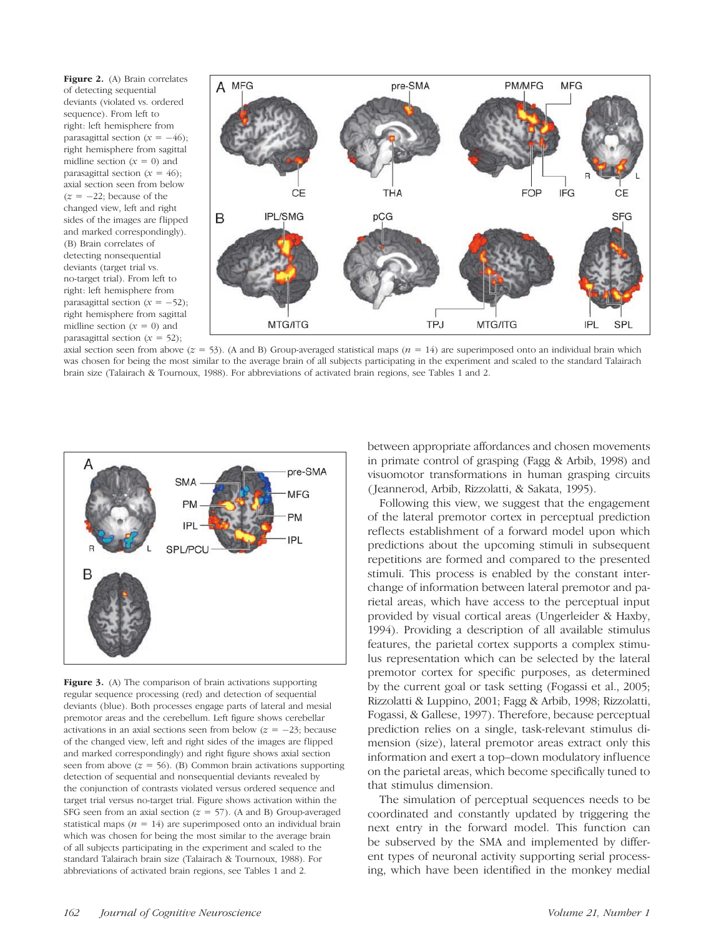Figure 2. (A) Brain correlates of detecting sequential deviants (violated vs. ordered sequence). From left to right: left hemisphere from parasagittal section  $(x = -46)$ ; right hemisphere from sagittal midline section  $(x = 0)$  and parasagittal section  $(x = 46)$ ; axial section seen from below  $(z = -22)$ ; because of the changed view, left and right sides of the images are flipped and marked correspondingly). (B) Brain correlates of detecting nonsequential deviants (target trial vs. no-target trial). From left to right: left hemisphere from parasagittal section  $(x = -52)$ ; right hemisphere from sagittal midline section  $(x = 0)$  and parasagittal section  $(x = 52)$ ;



axial section seen from above ( $z = 53$ ). (A and B) Group-averaged statistical maps ( $n = 14$ ) are superimposed onto an individual brain which was chosen for being the most similar to the average brain of all subjects participating in the experiment and scaled to the standard Talairach brain size (Talairach & Tournoux, 1988). For abbreviations of activated brain regions, see Tables 1 and 2.



Figure 3. (A) The comparison of brain activations supporting regular sequence processing (red) and detection of sequential deviants (blue). Both processes engage parts of lateral and mesial premotor areas and the cerebellum. Left figure shows cerebellar activations in an axial sections seen from below  $(z = -23)$ ; because of the changed view, left and right sides of the images are flipped and marked correspondingly) and right figure shows axial section seen from above  $(z = 56)$ . (B) Common brain activations supporting detection of sequential and nonsequential deviants revealed by the conjunction of contrasts violated versus ordered sequence and target trial versus no-target trial. Figure shows activation within the SFG seen from an axial section  $(z = 57)$ . (A and B) Group-averaged statistical maps ( $n = 14$ ) are superimposed onto an individual brain which was chosen for being the most similar to the average brain of all subjects participating in the experiment and scaled to the standard Talairach brain size (Talairach & Tournoux, 1988). For abbreviations of activated brain regions, see Tables 1 and 2.

between appropriate affordances and chosen movements in primate control of grasping (Fagg & Arbib, 1998) and visuomotor transformations in human grasping circuits ( Jeannerod, Arbib, Rizzolatti, & Sakata, 1995).

Following this view, we suggest that the engagement of the lateral premotor cortex in perceptual prediction reflects establishment of a forward model upon which predictions about the upcoming stimuli in subsequent repetitions are formed and compared to the presented stimuli. This process is enabled by the constant interchange of information between lateral premotor and parietal areas, which have access to the perceptual input provided by visual cortical areas (Ungerleider & Haxby, 1994). Providing a description of all available stimulus features, the parietal cortex supports a complex stimulus representation which can be selected by the lateral premotor cortex for specific purposes, as determined by the current goal or task setting (Fogassi et al., 2005; Rizzolatti & Luppino, 2001; Fagg & Arbib, 1998; Rizzolatti, Fogassi, & Gallese, 1997). Therefore, because perceptual prediction relies on a single, task-relevant stimulus dimension (size), lateral premotor areas extract only this information and exert a top–down modulatory influence on the parietal areas, which become specifically tuned to that stimulus dimension.

The simulation of perceptual sequences needs to be coordinated and constantly updated by triggering the next entry in the forward model. This function can be subserved by the SMA and implemented by different types of neuronal activity supporting serial processing, which have been identified in the monkey medial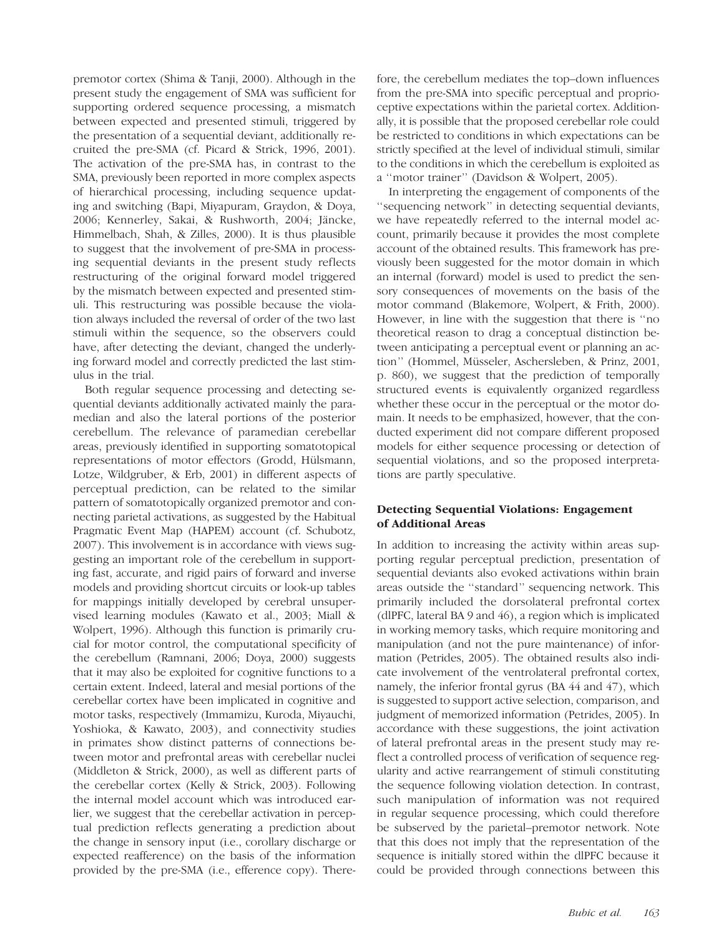premotor cortex (Shima & Tanji, 2000). Although in the present study the engagement of SMA was sufficient for supporting ordered sequence processing, a mismatch between expected and presented stimuli, triggered by the presentation of a sequential deviant, additionally recruited the pre-SMA (cf. Picard & Strick, 1996, 2001). The activation of the pre-SMA has, in contrast to the SMA, previously been reported in more complex aspects of hierarchical processing, including sequence updating and switching (Bapi, Miyapuram, Graydon, & Doya, 2006; Kennerley, Sakai, & Rushworth, 2004; Jäncke, Himmelbach, Shah, & Zilles, 2000). It is thus plausible to suggest that the involvement of pre-SMA in processing sequential deviants in the present study reflects restructuring of the original forward model triggered by the mismatch between expected and presented stimuli. This restructuring was possible because the violation always included the reversal of order of the two last stimuli within the sequence, so the observers could have, after detecting the deviant, changed the underlying forward model and correctly predicted the last stimulus in the trial.

Both regular sequence processing and detecting sequential deviants additionally activated mainly the paramedian and also the lateral portions of the posterior cerebellum. The relevance of paramedian cerebellar areas, previously identified in supporting somatotopical representations of motor effectors (Grodd, Hülsmann, Lotze, Wildgruber, & Erb, 2001) in different aspects of perceptual prediction, can be related to the similar pattern of somatotopically organized premotor and connecting parietal activations, as suggested by the Habitual Pragmatic Event Map (HAPEM) account (cf. Schubotz, 2007). This involvement is in accordance with views suggesting an important role of the cerebellum in supporting fast, accurate, and rigid pairs of forward and inverse models and providing shortcut circuits or look-up tables for mappings initially developed by cerebral unsupervised learning modules (Kawato et al., 2003; Miall & Wolpert, 1996). Although this function is primarily crucial for motor control, the computational specificity of the cerebellum (Ramnani, 2006; Doya, 2000) suggests that it may also be exploited for cognitive functions to a certain extent. Indeed, lateral and mesial portions of the cerebellar cortex have been implicated in cognitive and motor tasks, respectively (Immamizu, Kuroda, Miyauchi, Yoshioka, & Kawato, 2003), and connectivity studies in primates show distinct patterns of connections between motor and prefrontal areas with cerebellar nuclei (Middleton & Strick, 2000), as well as different parts of the cerebellar cortex (Kelly & Strick, 2003). Following the internal model account which was introduced earlier, we suggest that the cerebellar activation in perceptual prediction reflects generating a prediction about the change in sensory input (i.e., corollary discharge or expected reafference) on the basis of the information provided by the pre-SMA (i.e., efference copy). Therefore, the cerebellum mediates the top–down influences from the pre-SMA into specific perceptual and proprioceptive expectations within the parietal cortex. Additionally, it is possible that the proposed cerebellar role could be restricted to conditions in which expectations can be strictly specified at the level of individual stimuli, similar to the conditions in which the cerebellum is exploited as a ''motor trainer'' (Davidson & Wolpert, 2005).

In interpreting the engagement of components of the ''sequencing network'' in detecting sequential deviants, we have repeatedly referred to the internal model account, primarily because it provides the most complete account of the obtained results. This framework has previously been suggested for the motor domain in which an internal (forward) model is used to predict the sensory consequences of movements on the basis of the motor command (Blakemore, Wolpert, & Frith, 2000). However, in line with the suggestion that there is ''no theoretical reason to drag a conceptual distinction between anticipating a perceptual event or planning an action" (Hommel, Müsseler, Aschersleben, & Prinz, 2001, p. 860), we suggest that the prediction of temporally structured events is equivalently organized regardless whether these occur in the perceptual or the motor domain. It needs to be emphasized, however, that the conducted experiment did not compare different proposed models for either sequence processing or detection of sequential violations, and so the proposed interpretations are partly speculative.

# Detecting Sequential Violations: Engagement of Additional Areas

In addition to increasing the activity within areas supporting regular perceptual prediction, presentation of sequential deviants also evoked activations within brain areas outside the ''standard'' sequencing network. This primarily included the dorsolateral prefrontal cortex (dlPFC, lateral BA 9 and 46), a region which is implicated in working memory tasks, which require monitoring and manipulation (and not the pure maintenance) of information (Petrides, 2005). The obtained results also indicate involvement of the ventrolateral prefrontal cortex, namely, the inferior frontal gyrus (BA 44 and 47), which is suggested to support active selection, comparison, and judgment of memorized information (Petrides, 2005). In accordance with these suggestions, the joint activation of lateral prefrontal areas in the present study may reflect a controlled process of verification of sequence regularity and active rearrangement of stimuli constituting the sequence following violation detection. In contrast, such manipulation of information was not required in regular sequence processing, which could therefore be subserved by the parietal–premotor network. Note that this does not imply that the representation of the sequence is initially stored within the dlPFC because it could be provided through connections between this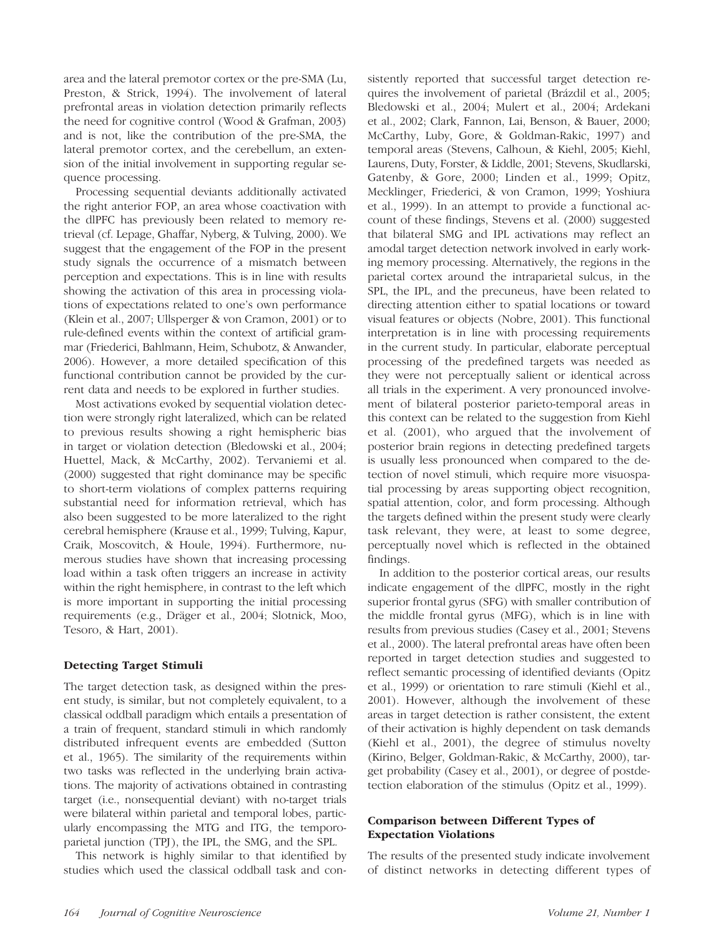area and the lateral premotor cortex or the pre-SMA (Lu, Preston, & Strick, 1994). The involvement of lateral prefrontal areas in violation detection primarily reflects the need for cognitive control (Wood & Grafman, 2003) and is not, like the contribution of the pre-SMA, the lateral premotor cortex, and the cerebellum, an extension of the initial involvement in supporting regular sequence processing.

Processing sequential deviants additionally activated the right anterior FOP, an area whose coactivation with the dlPFC has previously been related to memory retrieval (cf. Lepage, Ghaffar, Nyberg, & Tulving, 2000). We suggest that the engagement of the FOP in the present study signals the occurrence of a mismatch between perception and expectations. This is in line with results showing the activation of this area in processing violations of expectations related to one's own performance (Klein et al., 2007; Ullsperger & von Cramon, 2001) or to rule-defined events within the context of artificial grammar (Friederici, Bahlmann, Heim, Schubotz, & Anwander, 2006). However, a more detailed specification of this functional contribution cannot be provided by the current data and needs to be explored in further studies.

Most activations evoked by sequential violation detection were strongly right lateralized, which can be related to previous results showing a right hemispheric bias in target or violation detection (Bledowski et al., 2004; Huettel, Mack, & McCarthy, 2002). Tervaniemi et al. (2000) suggested that right dominance may be specific to short-term violations of complex patterns requiring substantial need for information retrieval, which has also been suggested to be more lateralized to the right cerebral hemisphere (Krause et al., 1999; Tulving, Kapur, Craik, Moscovitch, & Houle, 1994). Furthermore, numerous studies have shown that increasing processing load within a task often triggers an increase in activity within the right hemisphere, in contrast to the left which is more important in supporting the initial processing requirements (e.g., Dräger et al., 2004; Slotnick, Moo, Tesoro, & Hart, 2001).

# Detecting Target Stimuli

The target detection task, as designed within the present study, is similar, but not completely equivalent, to a classical oddball paradigm which entails a presentation of a train of frequent, standard stimuli in which randomly distributed infrequent events are embedded (Sutton et al., 1965). The similarity of the requirements within two tasks was reflected in the underlying brain activations. The majority of activations obtained in contrasting target (i.e., nonsequential deviant) with no-target trials were bilateral within parietal and temporal lobes, particularly encompassing the MTG and ITG, the temporoparietal junction (TPJ), the IPL, the SMG, and the SPL.

This network is highly similar to that identified by studies which used the classical oddball task and consistently reported that successful target detection requires the involvement of parietal (Brázdil et al., 2005; Bledowski et al., 2004; Mulert et al., 2004; Ardekani et al., 2002; Clark, Fannon, Lai, Benson, & Bauer, 2000; McCarthy, Luby, Gore, & Goldman-Rakic, 1997) and temporal areas (Stevens, Calhoun, & Kiehl, 2005; Kiehl, Laurens, Duty, Forster, & Liddle, 2001; Stevens, Skudlarski, Gatenby, & Gore, 2000; Linden et al., 1999; Opitz, Mecklinger, Friederici, & von Cramon, 1999; Yoshiura et al., 1999). In an attempt to provide a functional account of these findings, Stevens et al. (2000) suggested that bilateral SMG and IPL activations may reflect an amodal target detection network involved in early working memory processing. Alternatively, the regions in the parietal cortex around the intraparietal sulcus, in the SPL, the IPL, and the precuneus, have been related to directing attention either to spatial locations or toward visual features or objects (Nobre, 2001). This functional interpretation is in line with processing requirements in the current study. In particular, elaborate perceptual processing of the predefined targets was needed as they were not perceptually salient or identical across all trials in the experiment. A very pronounced involvement of bilateral posterior parieto-temporal areas in this context can be related to the suggestion from Kiehl et al. (2001), who argued that the involvement of posterior brain regions in detecting predefined targets is usually less pronounced when compared to the detection of novel stimuli, which require more visuospatial processing by areas supporting object recognition, spatial attention, color, and form processing. Although the targets defined within the present study were clearly task relevant, they were, at least to some degree, perceptually novel which is reflected in the obtained findings.

In addition to the posterior cortical areas, our results indicate engagement of the dlPFC, mostly in the right superior frontal gyrus (SFG) with smaller contribution of the middle frontal gyrus (MFG), which is in line with results from previous studies (Casey et al., 2001; Stevens et al., 2000). The lateral prefrontal areas have often been reported in target detection studies and suggested to reflect semantic processing of identified deviants (Opitz et al., 1999) or orientation to rare stimuli (Kiehl et al., 2001). However, although the involvement of these areas in target detection is rather consistent, the extent of their activation is highly dependent on task demands (Kiehl et al., 2001), the degree of stimulus novelty (Kirino, Belger, Goldman-Rakic, & McCarthy, 2000), target probability (Casey et al., 2001), or degree of postdetection elaboration of the stimulus (Opitz et al., 1999).

## Comparison between Different Types of Expectation Violations

The results of the presented study indicate involvement of distinct networks in detecting different types of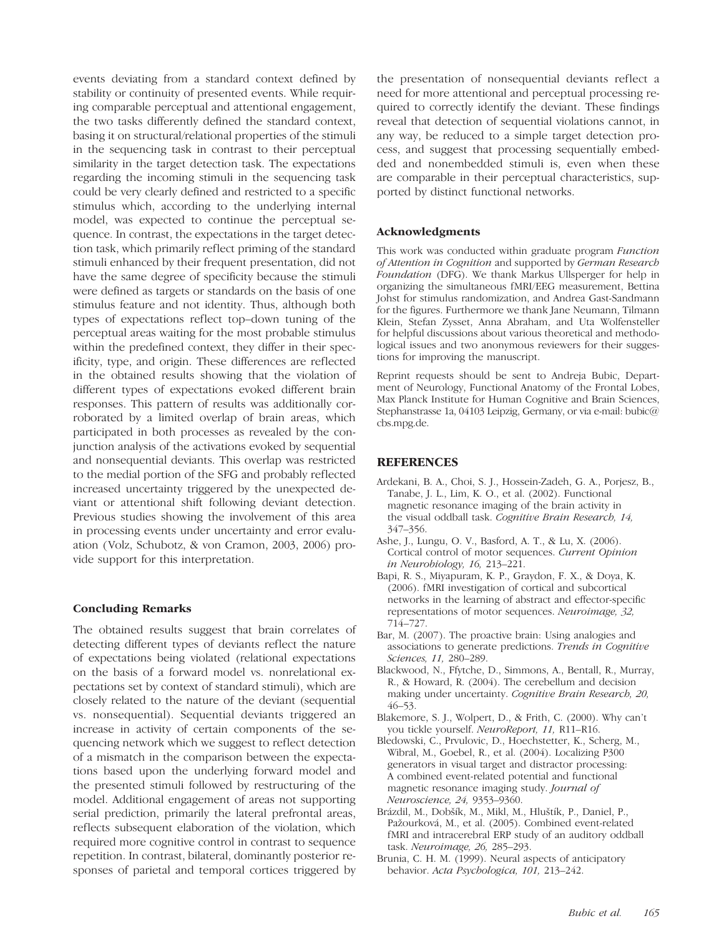events deviating from a standard context defined by stability or continuity of presented events. While requiring comparable perceptual and attentional engagement, the two tasks differently defined the standard context, basing it on structural/relational properties of the stimuli in the sequencing task in contrast to their perceptual similarity in the target detection task. The expectations regarding the incoming stimuli in the sequencing task could be very clearly defined and restricted to a specific stimulus which, according to the underlying internal model, was expected to continue the perceptual sequence. In contrast, the expectations in the target detection task, which primarily reflect priming of the standard stimuli enhanced by their frequent presentation, did not have the same degree of specificity because the stimuli were defined as targets or standards on the basis of one stimulus feature and not identity. Thus, although both types of expectations reflect top–down tuning of the perceptual areas waiting for the most probable stimulus within the predefined context, they differ in their specificity, type, and origin. These differences are reflected in the obtained results showing that the violation of different types of expectations evoked different brain responses. This pattern of results was additionally corroborated by a limited overlap of brain areas, which participated in both processes as revealed by the conjunction analysis of the activations evoked by sequential and nonsequential deviants. This overlap was restricted to the medial portion of the SFG and probably reflected increased uncertainty triggered by the unexpected deviant or attentional shift following deviant detection. Previous studies showing the involvement of this area in processing events under uncertainty and error evaluation (Volz, Schubotz, & von Cramon, 2003, 2006) provide support for this interpretation.

#### Concluding Remarks

The obtained results suggest that brain correlates of detecting different types of deviants reflect the nature of expectations being violated (relational expectations on the basis of a forward model vs. nonrelational expectations set by context of standard stimuli), which are closely related to the nature of the deviant (sequential vs. nonsequential). Sequential deviants triggered an increase in activity of certain components of the sequencing network which we suggest to reflect detection of a mismatch in the comparison between the expectations based upon the underlying forward model and the presented stimuli followed by restructuring of the model. Additional engagement of areas not supporting serial prediction, primarily the lateral prefrontal areas, reflects subsequent elaboration of the violation, which required more cognitive control in contrast to sequence repetition. In contrast, bilateral, dominantly posterior responses of parietal and temporal cortices triggered by the presentation of nonsequential deviants reflect a need for more attentional and perceptual processing required to correctly identify the deviant. These findings reveal that detection of sequential violations cannot, in any way, be reduced to a simple target detection process, and suggest that processing sequentially embedded and nonembedded stimuli is, even when these are comparable in their perceptual characteristics, supported by distinct functional networks.

#### Acknowledgments

This work was conducted within graduate program Function of Attention in Cognition and supported by German Research Foundation (DFG). We thank Markus Ullsperger for help in organizing the simultaneous fMRI/EEG measurement, Bettina Johst for stimulus randomization, and Andrea Gast-Sandmann for the figures. Furthermore we thank Jane Neumann, Tilmann Klein, Stefan Zysset, Anna Abraham, and Uta Wolfensteller for helpful discussions about various theoretical and methodological issues and two anonymous reviewers for their suggestions for improving the manuscript.

Reprint requests should be sent to Andreja Bubic, Department of Neurology, Functional Anatomy of the Frontal Lobes, Max Planck Institute for Human Cognitive and Brain Sciences, Stephanstrasse 1a, 04103 Leipzig, Germany, or via e-mail: bubic@ cbs.mpg.de.

#### **REFERENCES**

- Ardekani, B. A., Choi, S. J., Hossein-Zadeh, G. A., Porjesz, B., Tanabe, J. L., Lim, K. O., et al. (2002). Functional magnetic resonance imaging of the brain activity in the visual oddball task. Cognitive Brain Research, 14, 347–356.
- Ashe, J., Lungu, O. V., Basford, A. T., & Lu, X. (2006). Cortical control of motor sequences. Current Opinion in Neurobiology, 16, 213–221.
- Bapi, R. S., Miyapuram, K. P., Graydon, F. X., & Doya, K. (2006). fMRI investigation of cortical and subcortical networks in the learning of abstract and effector-specific representations of motor sequences. Neuroimage, 32, 714–727.
- Bar, M. (2007). The proactive brain: Using analogies and associations to generate predictions. Trends in Cognitive Sciences, 11, 280–289.
- Blackwood, N., Ffytche, D., Simmons, A., Bentall, R., Murray, R., & Howard, R. (2004). The cerebellum and decision making under uncertainty. Cognitive Brain Research, 20, 46–53.
- Blakemore, S. J., Wolpert, D., & Frith, C. (2000). Why can't you tickle yourself. NeuroReport, 11, R11–R16.
- Bledowski, C., Prvulovic, D., Hoechstetter, K., Scherg, M., Wibral, M., Goebel, R., et al. (2004). Localizing P300 generators in visual target and distractor processing: A combined event-related potential and functional magnetic resonance imaging study. Journal of Neuroscience, 24, 9353–9360.
- Brázdil, M., Dobšík, M., Mikl, M., Hluštík, P., Daniel, P., Pažourková, M., et al. (2005). Combined event-related fMRI and intracerebral ERP study of an auditory oddball task. Neuroimage, 26, 285–293.
- Brunia, C. H. M. (1999). Neural aspects of anticipatory behavior. Acta Psychologica, 101, 213–242.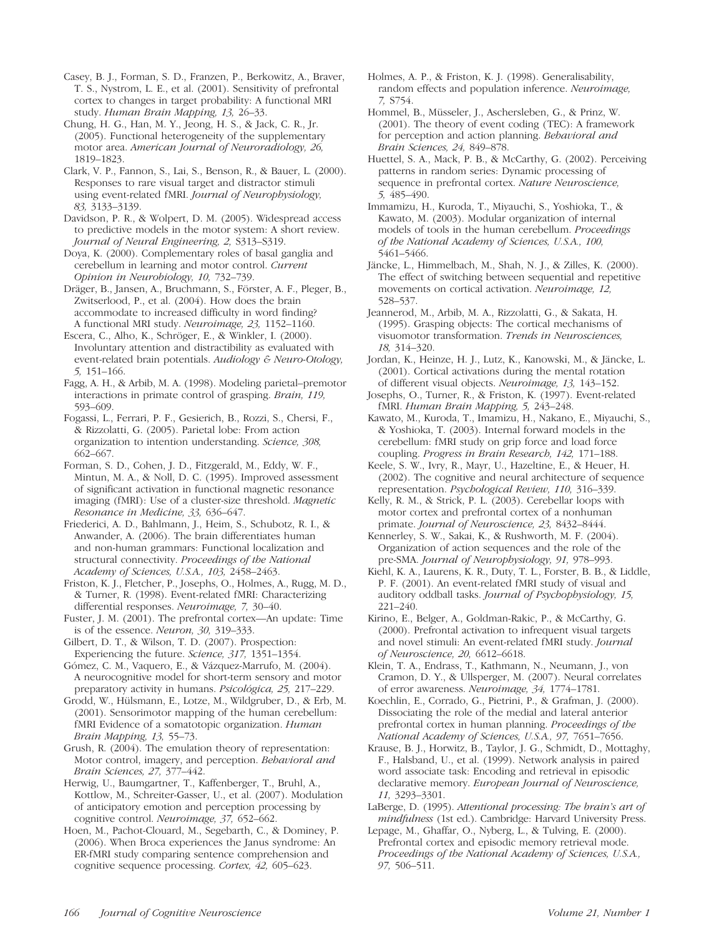Casey, B. J., Forman, S. D., Franzen, P., Berkowitz, A., Braver, T. S., Nystrom, L. E., et al. (2001). Sensitivity of prefrontal cortex to changes in target probability: A functional MRI study. Human Brain Mapping, 13, 26–33.

Chung, H. G., Han, M. Y., Jeong, H. S., & Jack, C. R., Jr. (2005). Functional heterogeneity of the supplementary motor area. American Journal of Neuroradiology, 26, 1819–1823.

Clark, V. P., Fannon, S., Lai, S., Benson, R., & Bauer, L. (2000). Responses to rare visual target and distractor stimuli using event-related fMRI. Journal of Neurophysiology, 83, 3133–3139.

Davidson, P. R., & Wolpert, D. M. (2005). Widespread access to predictive models in the motor system: A short review. Journal of Neural Engineering, 2, S313–S319.

Doya, K. (2000). Complementary roles of basal ganglia and cerebellum in learning and motor control. Current Opinion in Neurobiology, 10, 732–739.

Dräger, B., Jansen, A., Bruchmann, S., Förster, A. F., Pleger, B., Zwitserlood, P., et al. (2004). How does the brain accommodate to increased difficulty in word finding? A functional MRI study. Neuroimage, 23, 1152–1160.

Escera, C., Alho, K., Schröger, E., & Winkler, I. (2000). Involuntary attention and distractibility as evaluated with event-related brain potentials. Audiology & Neuro-Otology, 5, 151–166.

Fagg, A. H., & Arbib, M. A. (1998). Modeling parietal–premotor interactions in primate control of grasping. Brain, 119, 593–609.

Fogassi, L., Ferrari, P. F., Gesierich, B., Rozzi, S., Chersi, F., & Rizzolatti, G. (2005). Parietal lobe: From action organization to intention understanding. Science, 308, 662–667.

Forman, S. D., Cohen, J. D., Fitzgerald, M., Eddy, W. F., Mintun, M. A., & Noll, D. C. (1995). Improved assessment of significant activation in functional magnetic resonance imaging (fMRI): Use of a cluster-size threshold. Magnetic Resonance in Medicine, 33, 636–647.

Friederici, A. D., Bahlmann, J., Heim, S., Schubotz, R. I., & Anwander, A. (2006). The brain differentiates human and non-human grammars: Functional localization and structural connectivity. Proceedings of the National Academy of Sciences, U.S.A., 103, 2458–2463.

Friston, K. J., Fletcher, P., Josephs, O., Holmes, A., Rugg, M. D., & Turner, R. (1998). Event-related fMRI: Characterizing differential responses. Neuroimage, 7, 30–40.

Fuster, J. M. (2001). The prefrontal cortex—An update: Time is of the essence. Neuron, 30, 319–333.

Gilbert, D. T., & Wilson, T. D. (2007). Prospection: Experiencing the future. Science, 317, 1351–1354.

Gómez, C. M., Vaquero, E., & Vázquez-Marrufo, M. (2004). A neurocognitive model for short-term sensory and motor preparatory activity in humans. Psicológica, 25, 217–229.

Grodd, W., Hülsmann, E., Lotze, M., Wildgruber, D., & Erb, M. (2001). Sensorimotor mapping of the human cerebellum: fMRI Evidence of a somatotopic organization. Human Brain Mapping, 13, 55–73.

Grush, R. (2004). The emulation theory of representation: Motor control, imagery, and perception. Behavioral and Brain Sciences, 27, 377–442.

Herwig, U., Baumgartner, T., Kaffenberger, T., Bruhl, A., Kottlow, M., Schreiter-Gasser, U., et al. (2007). Modulation of anticipatory emotion and perception processing by cognitive control. Neuroimage, 37, 652–662.

Hoen, M., Pachot-Clouard, M., Segebarth, C., & Dominey, P. (2006). When Broca experiences the Janus syndrome: An ER-fMRI study comparing sentence comprehension and cognitive sequence processing. Cortex, 42, 605–623.

Holmes, A. P., & Friston, K. J. (1998). Generalisability, random effects and population inference. Neuroimage, 7, S754.

Hommel, B., Müsseler, J., Aschersleben, G., & Prinz, W. (2001). The theory of event coding (TEC): A framework for perception and action planning. Behavioral and Brain Sciences, 24, 849–878.

Huettel, S. A., Mack, P. B., & McCarthy, G. (2002). Perceiving patterns in random series: Dynamic processing of sequence in prefrontal cortex. Nature Neuroscience, 5, 485–490.

Immamizu, H., Kuroda, T., Miyauchi, S., Yoshioka, T., & Kawato, M. (2003). Modular organization of internal models of tools in the human cerebellum. Proceedings of the National Academy of Sciences, U.S.A., 100, 5461–5466.

Jäncke, L., Himmelbach, M., Shah, N. J., & Zilles, K. (2000). The effect of switching between sequential and repetitive movements on cortical activation. Neuroimage, 12, 528–537.

Jeannerod, M., Arbib, M. A., Rizzolatti, G., & Sakata, H. (1995). Grasping objects: The cortical mechanisms of visuomotor transformation. Trends in Neurosciences, 18, 314–320.

Jordan, K., Heinze, H. J., Lutz, K., Kanowski, M., & Jäncke, L. (2001). Cortical activations during the mental rotation of different visual objects. Neuroimage, 13, 143–152.

Josephs, O., Turner, R., & Friston, K. (1997). Event-related fMRI. Human Brain Mapping, 5, 243–248.

Kawato, M., Kuroda, T., Imamizu, H., Nakano, E., Miyauchi, S., & Yoshioka, T. (2003). Internal forward models in the cerebellum: fMRI study on grip force and load force coupling. Progress in Brain Research, 142, 171–188.

Keele, S. W., Ivry, R., Mayr, U., Hazeltine, E., & Heuer, H. (2002). The cognitive and neural architecture of sequence representation. Psychological Review, 110, 316–339.

Kelly, R. M., & Strick, P. L. (2003). Cerebellar loops with motor cortex and prefrontal cortex of a nonhuman primate. Journal of Neuroscience, 23, 8432–8444.

Kennerley, S. W., Sakai, K., & Rushworth, M. F. (2004). Organization of action sequences and the role of the pre-SMA. Journal of Neurophysiology, 91, 978-993.

Kiehl, K. A., Laurens, K. R., Duty, T. L., Forster, B. B., & Liddle, P. F. (2001). An event-related fMRI study of visual and auditory oddball tasks. Journal of Psychophysiology, 15, 221–240.

Kirino, E., Belger, A., Goldman-Rakic, P., & McCarthy, G. (2000). Prefrontal activation to infrequent visual targets and novel stimuli: An event-related fMRI study. Journal of Neuroscience, 20, 6612–6618.

Klein, T. A., Endrass, T., Kathmann, N., Neumann, J., von Cramon, D. Y., & Ullsperger, M. (2007). Neural correlates of error awareness. Neuroimage, 34, 1774–1781.

Koechlin, E., Corrado, G., Pietrini, P., & Grafman, J. (2000). Dissociating the role of the medial and lateral anterior prefrontal cortex in human planning. Proceedings of the National Academy of Sciences, U.S.A., 97, 7651–7656.

Krause, B. J., Horwitz, B., Taylor, J. G., Schmidt, D., Mottaghy, F., Halsband, U., et al. (1999). Network analysis in paired word associate task: Encoding and retrieval in episodic declarative memory. European Journal of Neuroscience, 11, 3293–3301.

LaBerge, D. (1995). Attentional processing: The brain's art of mindfulness (1st ed.). Cambridge: Harvard University Press.

Lepage, M., Ghaffar, O., Nyberg, L., & Tulving, E. (2000). Prefrontal cortex and episodic memory retrieval mode. Proceedings of the National Academy of Sciences, U.S.A., 97, 506–511.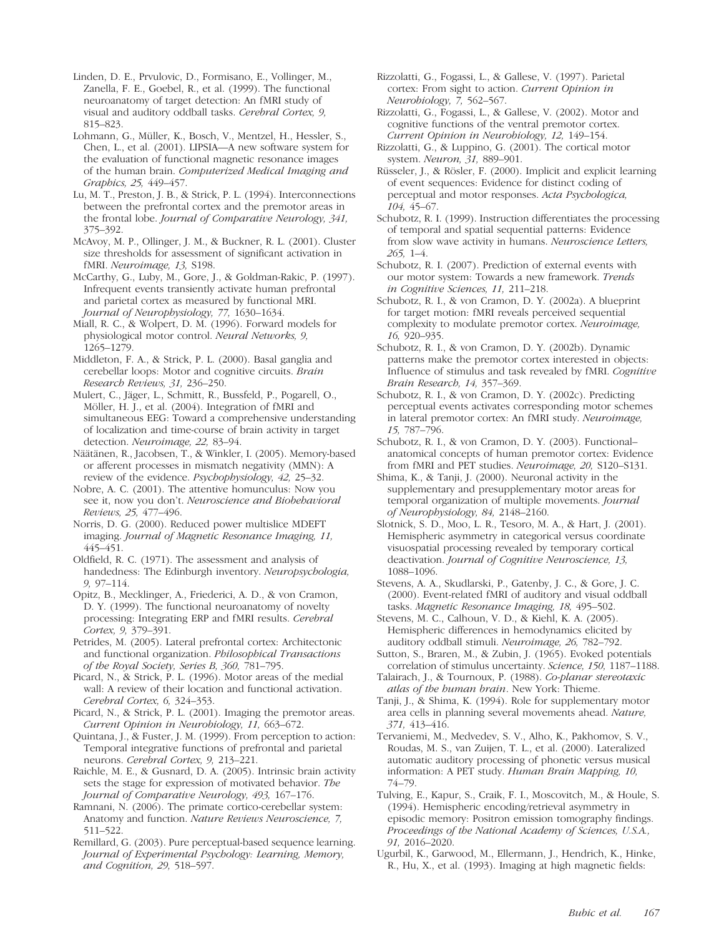Linden, D. E., Prvulovic, D., Formisano, E., Vollinger, M., Zanella, F. E., Goebel, R., et al. (1999). The functional neuroanatomy of target detection: An fMRI study of visual and auditory oddball tasks. Cerebral Cortex, 9, 815–823.

Lohmann, G., Müller, K., Bosch, V., Mentzel, H., Hessler, S., Chen, L., et al. (2001). LIPSIA—A new software system for the evaluation of functional magnetic resonance images of the human brain. Computerized Medical Imaging and Graphics, 25, 449–457.

Lu, M. T., Preston, J. B., & Strick, P. L. (1994). Interconnections between the prefrontal cortex and the premotor areas in the frontal lobe. Journal of Comparative Neurology, 341, 375–392.

McAvoy, M. P., Ollinger, J. M., & Buckner, R. L. (2001). Cluster size thresholds for assessment of significant activation in fMRI. Neuroimage, 13, S198.

McCarthy, G., Luby, M., Gore, J., & Goldman-Rakic, P. (1997). Infrequent events transiently activate human prefrontal and parietal cortex as measured by functional MRI. Journal of Neurophysiology, 77, 1630–1634.

Miall, R. C., & Wolpert, D. M. (1996). Forward models for physiological motor control. Neural Networks, 9, 1265–1279.

Middleton, F. A., & Strick, P. L. (2000). Basal ganglia and cerebellar loops: Motor and cognitive circuits. Brain Research Reviews, 31, 236–250.

Mulert, C., Jäger, L., Schmitt, R., Bussfeld, P., Pogarell, O., Möller, H. J., et al. (2004). Integration of fMRI and simultaneous EEG: Toward a comprehensive understanding of localization and time-course of brain activity in target detection. Neuroimage, 22, 83–94.

Näätänen, R., Jacobsen, T., & Winkler, I. (2005). Memory-based or afferent processes in mismatch negativity (MMN): A review of the evidence. Psychophysiology, 42, 25–32.

Nobre, A. C. (2001). The attentive homunculus: Now you see it, now you don't. Neuroscience and Biobehavioral Reviews, 25, 477–496.

Norris, D. G. (2000). Reduced power multislice MDEFT imaging. Journal of Magnetic Resonance Imaging, 11, 445–451.

Oldfield, R. C. (1971). The assessment and analysis of handedness: The Edinburgh inventory. Neuropsychologia, 9, 97–114.

Opitz, B., Mecklinger, A., Friederici, A. D., & von Cramon, D. Y. (1999). The functional neuroanatomy of novelty processing: Integrating ERP and fMRI results. Cerebral Cortex, 9, 379–391.

Petrides, M. (2005). Lateral prefrontal cortex: Architectonic and functional organization. Philosophical Transactions of the Royal Society, Series B, 360, 781–795.

Picard, N., & Strick, P. L. (1996). Motor areas of the medial wall: A review of their location and functional activation. Cerebral Cortex, 6, 324–353.

Picard, N., & Strick, P. L. (2001). Imaging the premotor areas. Current Opinion in Neurobiology, 11, 663–672.

Quintana, J., & Fuster, J. M. (1999). From perception to action: Temporal integrative functions of prefrontal and parietal neurons. Cerebral Cortex, 9, 213–221.

Raichle, M. E., & Gusnard, D. A. (2005). Intrinsic brain activity sets the stage for expression of motivated behavior. The Journal of Comparative Neurology, 493, 167–176.

Ramnani, N. (2006). The primate cortico-cerebellar system: Anatomy and function. Nature Reviews Neuroscience, 7, 511–522.

Remillard, G. (2003). Pure perceptual-based sequence learning. Journal of Experimental Psychology: Learning, Memory, and Cognition, 29, 518–597.

Rizzolatti, G., Fogassi, L., & Gallese, V. (1997). Parietal cortex: From sight to action. Current Opinion in Neurobiology, 7, 562–567.

Rizzolatti, G., Fogassi, L., & Gallese, V. (2002). Motor and cognitive functions of the ventral premotor cortex. Current Opinion in Neurobiology, 12, 149–154.

- Rizzolatti, G., & Luppino, G. (2001). The cortical motor system. Neuron, 31, 889–901.
- Rüsseler, J., & Rösler, F. (2000). Implicit and explicit learning of event sequences: Evidence for distinct coding of perceptual and motor responses. Acta Psychologica, 104, 45–67.

Schubotz, R. I. (1999). Instruction differentiates the processing of temporal and spatial sequential patterns: Evidence from slow wave activity in humans. Neuroscience Letters, 265, 1–4.

Schubotz, R. I. (2007). Prediction of external events with our motor system: Towards a new framework. Trends in Cognitive Sciences, 11, 211–218.

Schubotz, R. I., & von Cramon, D. Y. (2002a). A blueprint for target motion: fMRI reveals perceived sequential complexity to modulate premotor cortex. Neuroimage, 16, 920–935.

Schubotz, R. I., & von Cramon, D. Y. (2002b). Dynamic patterns make the premotor cortex interested in objects: Influence of stimulus and task revealed by fMRI. Cognitive Brain Research, 14, 357–369.

Schubotz, R. I., & von Cramon, D. Y. (2002c). Predicting perceptual events activates corresponding motor schemes in lateral premotor cortex: An fMRI study. Neuroimage, 15, 787–796.

Schubotz, R. I., & von Cramon, D. Y. (2003). Functional– anatomical concepts of human premotor cortex: Evidence from fMRI and PET studies. Neuroimage, 20, S120–S131.

Shima, K., & Tanji, J. (2000). Neuronal activity in the supplementary and presupplementary motor areas for temporal organization of multiple movements. Journal of Neurophysiology, 84, 2148–2160.

Slotnick, S. D., Moo, L. R., Tesoro, M. A., & Hart, J. (2001). Hemispheric asymmetry in categorical versus coordinate visuospatial processing revealed by temporary cortical deactivation. Journal of Cognitive Neuroscience, 13, 1088–1096.

Stevens, A. A., Skudlarski, P., Gatenby, J. C., & Gore, J. C. (2000). Event-related fMRI of auditory and visual oddball tasks. Magnetic Resonance Imaging, 18, 495–502.

Stevens, M. C., Calhoun, V. D., & Kiehl, K. A. (2005). Hemispheric differences in hemodynamics elicited by auditory oddball stimuli. Neuroimage, 26, 782–792.

Sutton, S., Braren, M., & Zubin, J. (1965). Evoked potentials correlation of stimulus uncertainty. Science, 150, 1187–1188.

Talairach, J., & Tournoux, P. (1988). Co-planar stereotaxic atlas of the human brain. New York: Thieme.

Tanji, J., & Shima, K. (1994). Role for supplementary motor area cells in planning several movements ahead. Nature, 371, 413–416.

Tervaniemi, M., Medvedev, S. V., Alho, K., Pakhomov, S. V., Roudas, M. S., van Zuijen, T. L., et al. (2000). Lateralized automatic auditory processing of phonetic versus musical information: A PET study. Human Brain Mapping, 10, 74–79.

Tulving, E., Kapur, S., Craik, F. I., Moscovitch, M., & Houle, S. (1994). Hemispheric encoding/retrieval asymmetry in episodic memory: Positron emission tomography findings. Proceedings of the National Academy of Sciences, U.S.A., 91, 2016–2020.

Ugurbil, K., Garwood, M., Ellermann, J., Hendrich, K., Hinke, R., Hu, X., et al. (1993). Imaging at high magnetic fields: